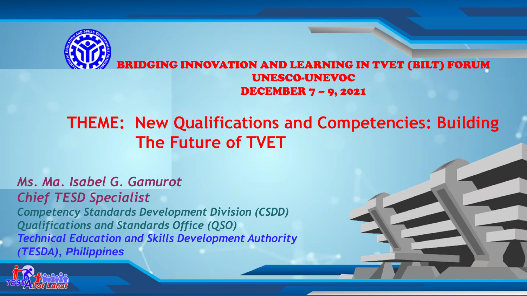

## **THEME: New Qualifications and Competencies: Building The Future of TVET**

#### *Ms. Ma. Isabel G. Gamurot*

*Chief TESD Specialist Competency Standards Development Division (CSDD) Qualifications and Standards Office (QSO) Technical Education and Skills Development Authority (TESDA), Philippines* 

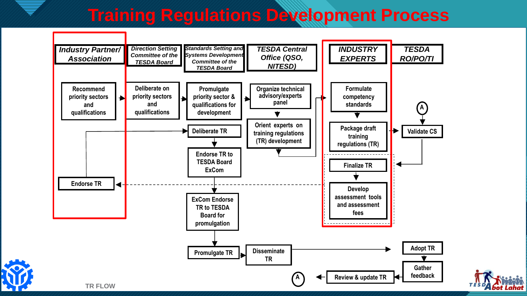# **Training Regulations Development Process**



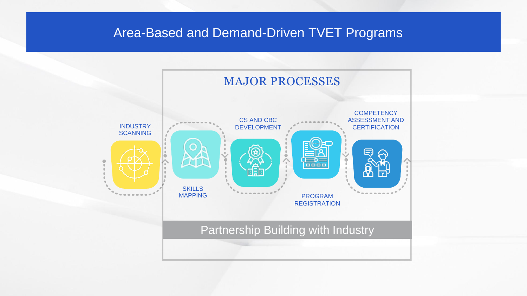### **Click to edit Massed and Demand-Driven TVET Programs**

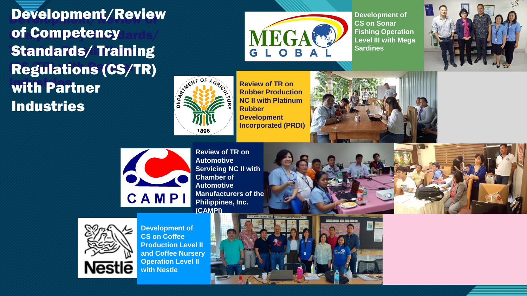**of Competency Standards/ Competency Standards/ Competency Standards/ Competency Standards/ Competency Standards** Development/Review **Standards/ Training Regulations (CS/TR)** with Partner Industries



**Development of CS on Sonar Fishing Operation Level III with Mega Sardines**





**Review of TR on Rubber Production NC II with Platinum Rubber Development Incorporated (PRDI)**





**Review of TR on Automotive Servicing NC II with Chamber of Automotive Manufacturers of the Philippines, Inc. (CAMPI)**



**Nestle** 

**Development of CS on Coffee Production Level II and Coffee Nursery Operation Level II with Nestle**